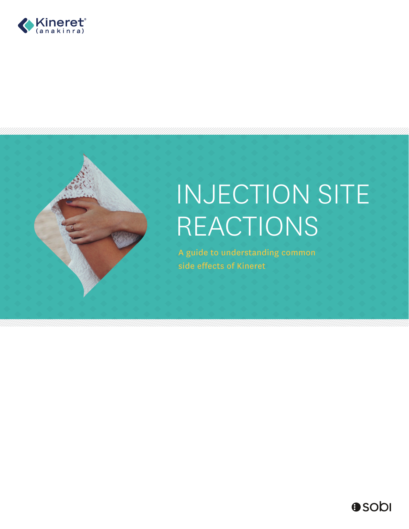



# INJECTION SITE REACTIONS

A guide to understanding common side effects of Kineret

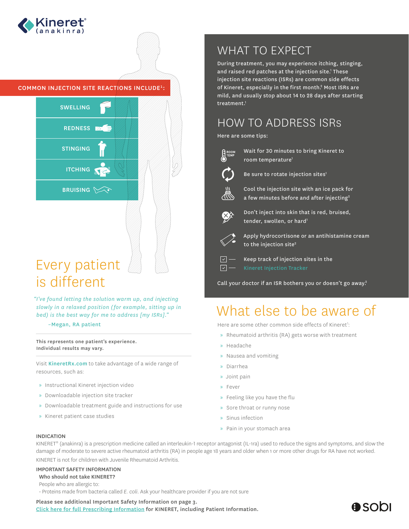

## COMMON INJECTION SITE REACTIONS INCLUDE1:



# Every patient is different

## *"I've found letting the solution warm up, and injecting slowly in a relaxed position ( for example, sitting up in bed) is the best way for me to address [my ISRs]."*

–Megan, RA patient

This represents one patient's experience. Individual results may vary.

Visit KineretRx.com to take advantage of a wide range of resources, such as:

- » Instructional Kineret injection video
- » Downloadable injection site tracker
- » Downloadable treatment guide and instructions for use
- » Kineret patient case studies

# WHAT TO EXPECT

During treatment, you may experience itching, stinging, and raised red patches at the injection site.<sup>1</sup> These injection site reactions (ISRs) are common side effects of Kineret, especially in the first month.<sup>2</sup> Most ISRs are mild, and usually stop about 14 to 28 days after starting treatment.<sup>1</sup>

# HOW TO ADDRESS ISRs

Here are some tips:



Wait for 30 minutes to bring Kineret to room temperature<sup>1</sup>



Be sure to rotate injection sites<sup>1</sup>



Cool the injection site with an ice pack for a few minutes before and after injecting<sup>2</sup>



Don't inject into skin that is red, bruised, tender, swollen, or hard<sup>1</sup>



Apply hydrocortisone or an antihistamine cream to the injection site $2$ 

 $\boxed{\triangledown}$  -

Keep track of injection sites in the

Call your doctor if an ISR bothers you or doesn't go away.<sup>2</sup>

# What else to be aware of

Here are some other common side effects of Kineret1:

- » Rheumatoid arthritis (RA) gets worse with treatment
- » Headache
- » Nausea and vomiting
- » Diarrhea
- » Joint pain
- » Fever
- » Feeling like you have the flu
- » Sore throat or runny nose
- » Sinus infection
- » Pain in your stomach area

#### INDICATION

KINERET® (anakinra) is a prescription medicine called an interleukin-1 receptor antagonist (IL-1ra) used to reduce the signs and symptoms, and slow the damage of moderate to severe active rheumatoid arthritis (RA) in people age 18 years and older when 1 or more other drugs for RA have not worked. KINERET is not for children with Juvenile Rheumatoid Arthritis.

# IMPORTANT SAFETY INFORMATION

Who should not take KINERET?

People who are allergic to:

• Proteins made from bacteria called *E. coli*. Ask your healthcare provider if you are not sure

#### Please see additional Important Safety Information on page 3.

[Click here for full Prescribing Information](https://www.kineretrx.com/hcp/pdf/Full-Prescribing-Information-English.pdf) for KINERET, including Patient Information.